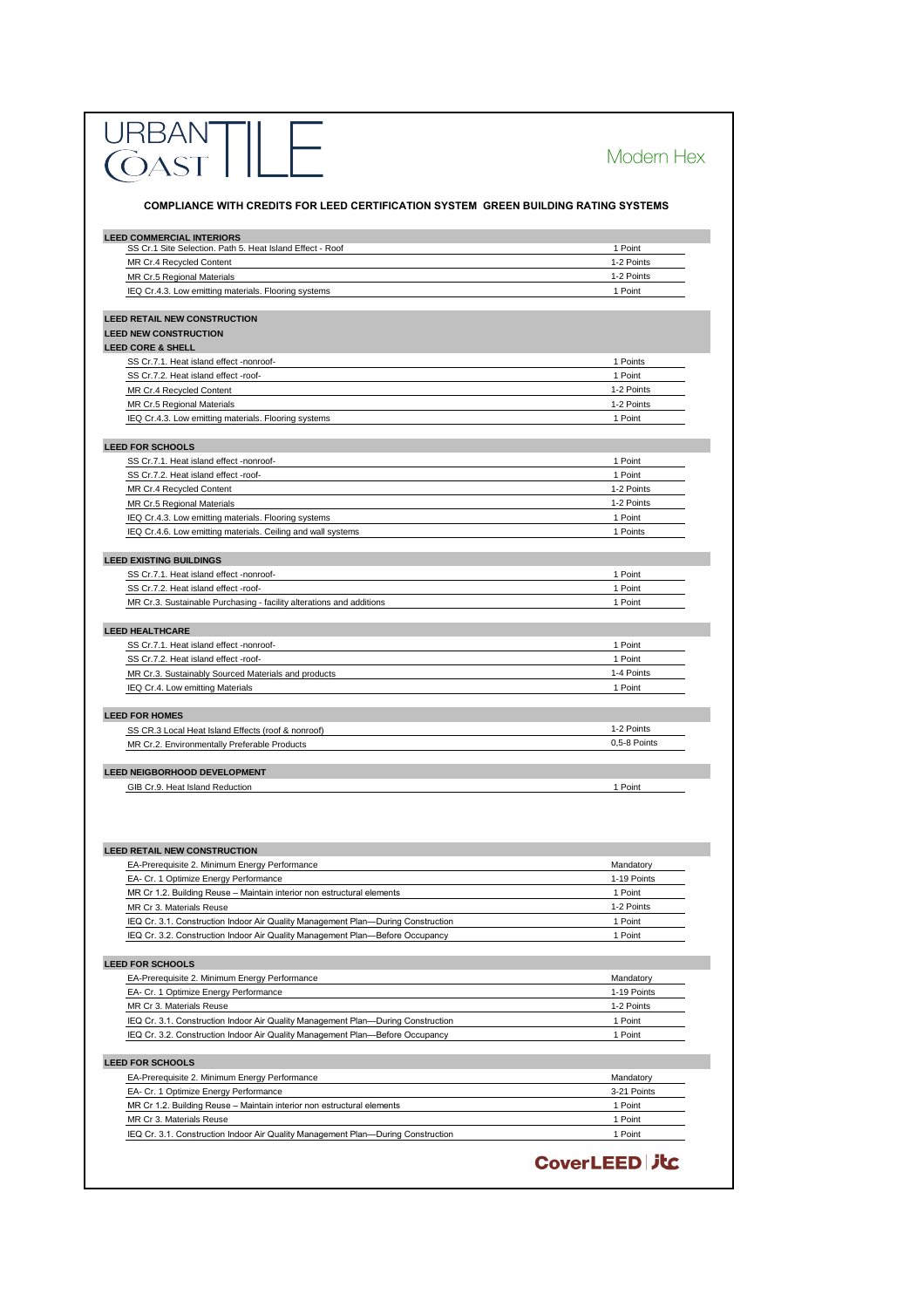|                                                                                                                                                                   | Modern Hex                       |
|-------------------------------------------------------------------------------------------------------------------------------------------------------------------|----------------------------------|
| <b>COMPLIANCE WITH CREDITS FOR LEED CERTIFICATION SYSTEM GREEN BUILDING RATING SYSTEMS</b>                                                                        |                                  |
| <b>LEED COMMERCIAL INTERIORS</b>                                                                                                                                  |                                  |
| SS Cr.1 Site Selection. Path 5. Heat Island Effect - Roof                                                                                                         | 1 Point                          |
| MR Cr.4 Recycled Content                                                                                                                                          | 1-2 Points                       |
| <b>MR Cr.5 Regional Materials</b><br>IEQ Cr.4.3. Low emitting materials. Flooring systems                                                                         | 1-2 Points<br>1 Point            |
|                                                                                                                                                                   |                                  |
| <b>LEED RETAIL NEW CONSTRUCTION</b>                                                                                                                               |                                  |
| <b>LEED NEW CONSTRUCTION</b><br><b>LEED CORE &amp; SHELL</b>                                                                                                      |                                  |
| SS Cr.7.1. Heat island effect -nonroof-                                                                                                                           | 1 Points                         |
| SS Cr.7.2. Heat island effect -roof-                                                                                                                              | 1 Point                          |
| MR Cr.4 Recycled Content                                                                                                                                          | 1-2 Points                       |
| <b>MR Cr.5 Regional Materials</b>                                                                                                                                 | 1-2 Points                       |
| IEQ Cr.4.3. Low emitting materials. Flooring systems                                                                                                              | 1 Point                          |
| <b>LEED FOR SCHOOLS</b>                                                                                                                                           |                                  |
| SS Cr.7.1. Heat island effect -nonroof-                                                                                                                           | 1 Point                          |
| SS Cr.7.2. Heat island effect -roof-                                                                                                                              | 1 Point                          |
| MR Cr.4 Recycled Content                                                                                                                                          | 1-2 Points                       |
| <b>MR Cr.5 Regional Materials</b>                                                                                                                                 | 1-2 Points                       |
| IEQ Cr.4.3. Low emitting materials. Flooring systems                                                                                                              | 1 Point                          |
| IEQ Cr.4.6. Low emitting materials. Ceiling and wall systems                                                                                                      | 1 Points                         |
| <b>LEED EXISTING BUILDINGS</b>                                                                                                                                    |                                  |
| SS Cr.7.1. Heat island effect -nonroof-                                                                                                                           | 1 Point                          |
| SS Cr.7.2. Heat island effect -roof-                                                                                                                              | 1 Point                          |
| MR Cr.3. Sustainable Purchasing - facility alterations and additions                                                                                              | 1 Point                          |
| SS Cr.7.2. Heat island effect -roof-<br>MR Cr.3. Sustainably Sourced Materials and products<br>IEQ Cr.4. Low emitting Materials                                   | 1 Point<br>1-4 Points<br>1 Point |
| <b>LEED FOR HOMES</b>                                                                                                                                             |                                  |
| SS CR.3 Local Heat Island Effects (roof & nonroof)                                                                                                                | 1-2 Points<br>0,5-8 Points       |
| MR Cr.2. Environmentally Preferable Products                                                                                                                      |                                  |
| <b>LEED NEIGBORHOOD DEVELOPMENT</b>                                                                                                                               |                                  |
| GIB Cr.9. Heat Island Reduction                                                                                                                                   | 1 Point                          |
| <b>LEED RETAIL NEW CONSTRUCTION</b>                                                                                                                               |                                  |
| EA-Prerequisite 2. Minimum Energy Performance                                                                                                                     | Mandatory                        |
| EA- Cr. 1 Optimize Energy Performance                                                                                                                             | 1-19 Points                      |
| MR Cr 1.2. Building Reuse - Maintain interior non estructural elements                                                                                            | 1 Point                          |
| MR Cr 3. Materials Reuse                                                                                                                                          | 1-2 Points                       |
| IEQ Cr. 3.1. Construction Indoor Air Quality Management Plan-During Construction<br>IEQ Cr. 3.2. Construction Indoor Air Quality Management Plan-Before Occupancy | 1 Point<br>1 Point               |
|                                                                                                                                                                   |                                  |
| <b>LEED FOR SCHOOLS</b>                                                                                                                                           |                                  |
| EA-Prerequisite 2. Minimum Energy Performance<br>EA- Cr. 1 Optimize Energy Performance                                                                            | Mandatory<br>1-19 Points         |
| MR Cr 3. Materials Reuse                                                                                                                                          | 1-2 Points                       |
| IEQ Cr. 3.1. Construction Indoor Air Quality Management Plan-During Construction                                                                                  | 1 Point                          |
| IEQ Cr. 3.2. Construction Indoor Air Quality Management Plan-Before Occupancy                                                                                     | 1 Point                          |
|                                                                                                                                                                   |                                  |
| <b>LEED FOR SCHOOLS</b><br>EA-Prerequisite 2. Minimum Energy Performance                                                                                          | Mandatory                        |
| EA- Cr. 1 Optimize Energy Performance                                                                                                                             | 3-21 Points                      |
| MR Cr 1.2. Building Reuse - Maintain interior non estructural elements                                                                                            | 1 Point                          |
| MR Cr 3. Materials Reuse                                                                                                                                          | 1 Point                          |
| IEQ Cr. 3.1. Construction Indoor Air Quality Management Plan-During Construction                                                                                  | 1 Point                          |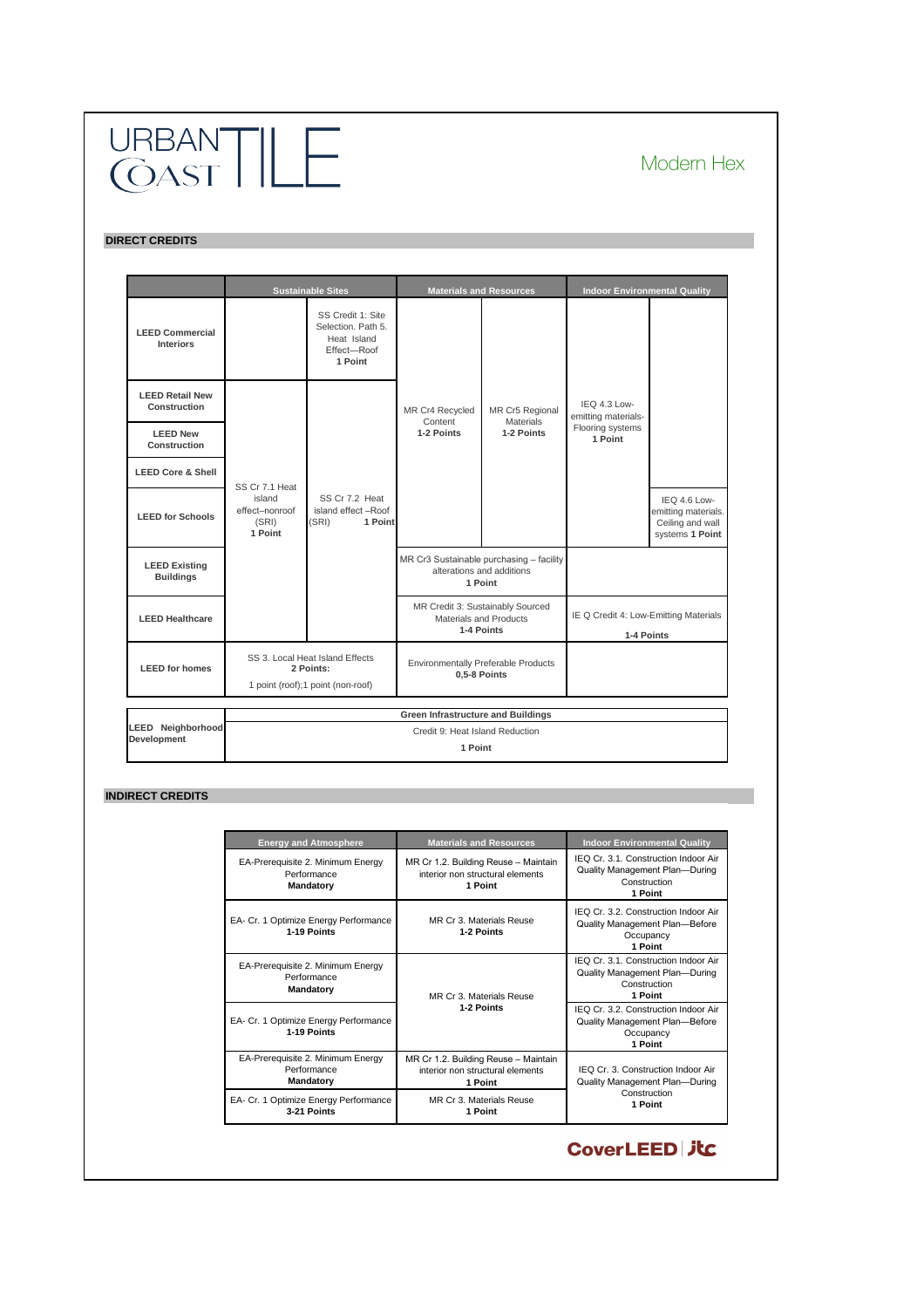**INDIRECT CREDITS**

| <b>Energy and Atmosphere</b>                                         | <b>Materials and Resources</b>                                                      | <b>Indoor Environmental Quality</b>                                                                      |
|----------------------------------------------------------------------|-------------------------------------------------------------------------------------|----------------------------------------------------------------------------------------------------------|
| EA-Prerequisite 2. Minimum Energy<br>Performance<br><b>Mandatory</b> | MR Cr 1.2. Building Reuse - Maintain<br>interior non structural elements<br>1 Point | IEQ Cr. 3.1. Construction Indoor Air<br><b>Quality Management Plan-During</b><br>Construction<br>1 Point |
| EA- Cr. 1 Optimize Energy Performance<br>1-19 Points                 | MR Cr 3. Materials Reuse<br>1-2 Points                                              | IEQ Cr. 3.2. Construction Indoor Air<br><b>Quality Management Plan-Before</b><br>Occupancy<br>1 Point    |
| EA-Prerequisite 2. Minimum Energy<br>Performance<br><b>Mandatory</b> | MR Cr 3. Materials Reuse                                                            | IEQ Cr. 3.1. Construction Indoor Air<br><b>Quality Management Plan-During</b><br>Construction<br>1 Point |
| EA- Cr. 1 Optimize Energy Performance<br>1-19 Points                 | 1-2 Points                                                                          | IEQ Cr. 3.2. Construction Indoor Air<br><b>Quality Management Plan-Before</b><br>Occupancy<br>1 Point    |
| EA-Prerequisite 2. Minimum Energy<br>Performance<br><b>Mandatory</b> | MR Cr 1.2. Building Reuse - Maintain<br>interior non structural elements<br>1 Point | IEQ Cr. 3. Construction Indoor Air<br><b>Quality Management Plan-During</b>                              |
| EA- Cr. 1 Optimize Energy Performance<br>3-21 Points                 | MR Cr 3. Materials Reuse<br>1 Point                                                 | Construction<br>1 Point                                                                                  |

## **CoverLEED 丸く**

|                                               |                                                                | <b>Sustainable Sites</b>                                                          |                                           | <b>Materials and Resources</b>                                                   | <b>Indoor Environmental Quality</b>                 |                                                                            |
|-----------------------------------------------|----------------------------------------------------------------|-----------------------------------------------------------------------------------|-------------------------------------------|----------------------------------------------------------------------------------|-----------------------------------------------------|----------------------------------------------------------------------------|
| <b>LEED Commercial</b><br><b>Interiors</b>    |                                                                | SS Credit 1: Site<br>Selection. Path 5.<br>Heat Island<br>Effect-Roof<br>1 Point  |                                           |                                                                                  |                                                     |                                                                            |
| <b>LEED Retail New</b><br><b>Construction</b> |                                                                |                                                                                   | MR Cr4 Recycled<br>Content                | MR Cr5 Regional<br><b>Materials</b>                                              | IEQ 4.3 Low-<br>emitting materials-                 |                                                                            |
| <b>LEED New</b><br><b>Construction</b>        |                                                                |                                                                                   | 1-2 Points<br>1-2 Points                  | Flooring systems<br>1 Point                                                      |                                                     |                                                                            |
| <b>LEED Core &amp; Shell</b>                  |                                                                |                                                                                   |                                           |                                                                                  |                                                     |                                                                            |
| <b>LEED for Schools</b>                       | SS Cr 7.1 Heat<br>island<br>effect-nonroof<br>(SRI)<br>1 Point | SS Cr 7.2 Heat<br>island effect -Roof<br>(SRI)<br>1 Point                         |                                           |                                                                                  |                                                     | IEQ 4.6 Low-<br>emitting materials.<br>Ceiling and wall<br>systems 1 Point |
| <b>LEED Existing</b><br><b>Buildings</b>      |                                                                |                                                                                   |                                           | MR Cr3 Sustainable purchasing - facility<br>alterations and additions<br>1 Point |                                                     |                                                                            |
| <b>LEED Healthcare</b>                        |                                                                |                                                                                   |                                           | MR Credit 3: Sustainably Sourced<br><b>Materials and Products</b><br>1-4 Points  | IE Q Credit 4: Low-Emitting Materials<br>1-4 Points |                                                                            |
| <b>LEED for homes</b>                         |                                                                | SS 3. Local Heat Island Effects<br>2 Points:<br>1 point (roof);1 point (non-roof) | 0,5-8 Points                              | <b>Environmentally Preferable Products</b>                                       |                                                     |                                                                            |
|                                               |                                                                |                                                                                   | <b>Green Infrastructure and Buildings</b> |                                                                                  |                                                     |                                                                            |
| <b>LEED Neighborhood</b>                      |                                                                |                                                                                   | Credit 9: Heat Island Reduction           |                                                                                  |                                                     |                                                                            |
| <b>Development</b>                            | 1 Point                                                        |                                                                                   |                                           |                                                                                  |                                                     |                                                                            |

#### **DIRECT CREDITS**

# URBANT | LE<br>CAST | LE

## Modern Hex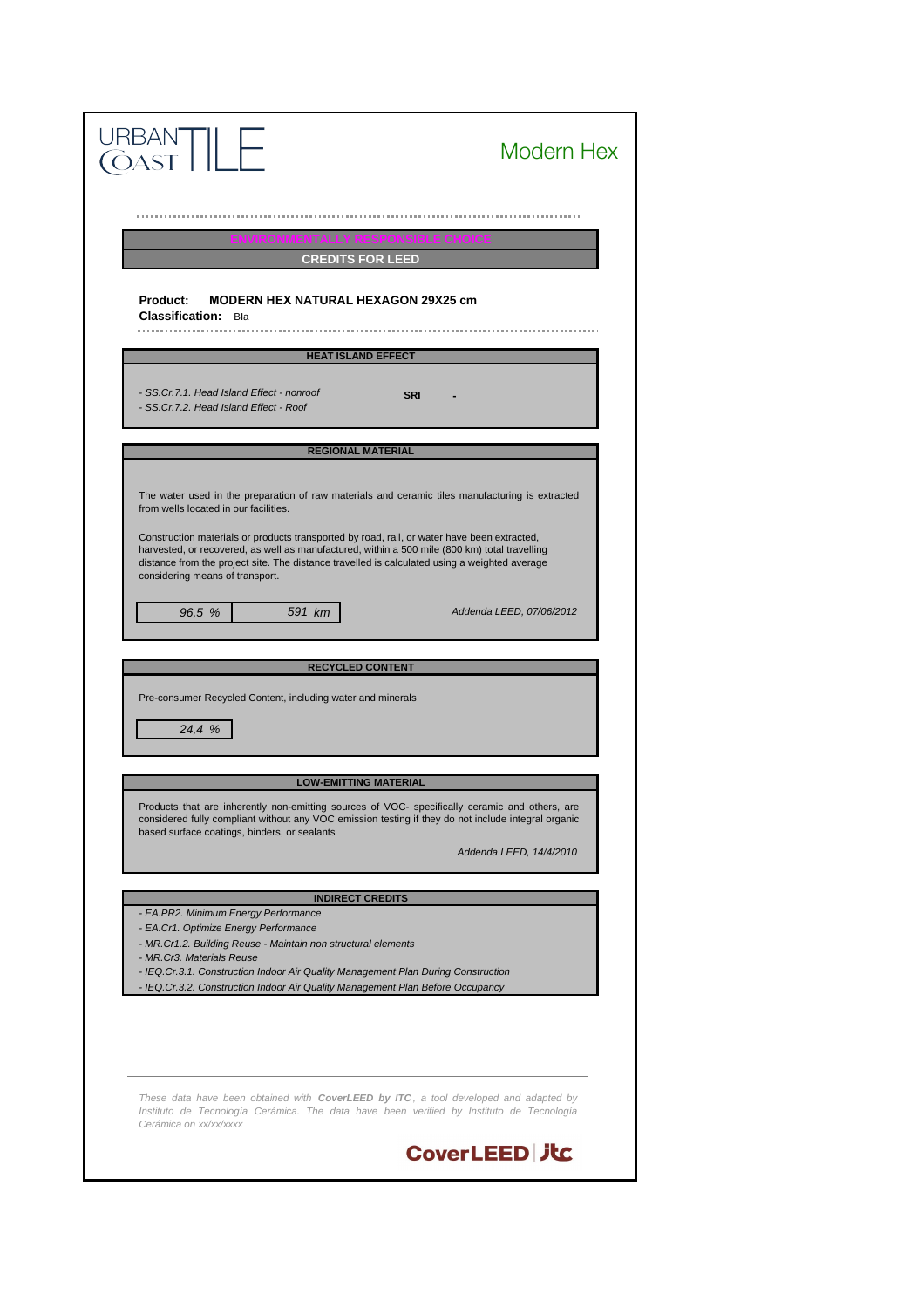*- MR.Cr3. Materials Reuse*

*These data have been obtained with CoverLEED by ITC , a tool developed and adapted by Instituto de Tecnología Cerámica. The data have been verified by Instituto de Tecnología Cerámica on xx/xx/xxxx*

### **CoverLEED 丸に**

- *EA.Cr1. Optimize Energy Performance*
- *MR.Cr1.2. Building Reuse Maintain non structural elements*

*- EA.PR2. Minimum Energy Performance*

*- IEQ.Cr.3.1. Construction Indoor Air Quality Management Plan During Construction*

*- IEQ.Cr.3.2. Construction Indoor Air Quality Management Plan Before Occupancy*

| RBAN<br>DAST                                                                                                                                                                                                                                                                                                                                                                                                                                                                 | Modern Hex               |
|------------------------------------------------------------------------------------------------------------------------------------------------------------------------------------------------------------------------------------------------------------------------------------------------------------------------------------------------------------------------------------------------------------------------------------------------------------------------------|--------------------------|
| <b>ENVIRONMENTALLY RESPONSIBLE CHOICE</b>                                                                                                                                                                                                                                                                                                                                                                                                                                    |                          |
| <b>CREDITS FOR LEED</b>                                                                                                                                                                                                                                                                                                                                                                                                                                                      |                          |
| <b>MODERN HEX NATURAL HEXAGON 29X25 cm</b><br><b>Product:</b><br><b>Classification:</b><br>Bla                                                                                                                                                                                                                                                                                                                                                                               |                          |
| <b>HEAT ISLAND EFFECT</b>                                                                                                                                                                                                                                                                                                                                                                                                                                                    |                          |
| - SS.Cr.7.1. Head Island Effect - nonroof<br><b>SRI</b><br>- SS.Cr.7.2. Head Island Effect - Roof                                                                                                                                                                                                                                                                                                                                                                            |                          |
| <b>REGIONAL MATERIAL</b>                                                                                                                                                                                                                                                                                                                                                                                                                                                     |                          |
| The water used in the preparation of raw materials and ceramic tiles manufacturing is extracted<br>from wells located in our facilities.<br>Construction materials or products transported by road, rail, or water have been extracted,<br>harvested, or recovered, as well as manufactured, within a 500 mile (800 km) total travelling<br>distance from the project site. The distance travelled is calculated using a weighted average<br>considering means of transport. |                          |
| 96,5 %<br>591 km                                                                                                                                                                                                                                                                                                                                                                                                                                                             | Addenda LEED, 07/06/2012 |
| <b>RECYCLED CONTENT</b>                                                                                                                                                                                                                                                                                                                                                                                                                                                      |                          |
| Pre-consumer Recycled Content, including water and minerals<br>24,4 %                                                                                                                                                                                                                                                                                                                                                                                                        |                          |
| <b>LOW-EMITTING MATERIAL</b>                                                                                                                                                                                                                                                                                                                                                                                                                                                 |                          |
| Products that are inherently non-emitting sources of VOC- specifically ceramic and others, are<br>considered fully compliant without any VOC emission testing if they do not include integral organic<br>based surface coatings, binders, or sealants                                                                                                                                                                                                                        | Addenda LEED, 14/4/2010  |
| <b>INDIRECT CREDITS</b>                                                                                                                                                                                                                                                                                                                                                                                                                                                      |                          |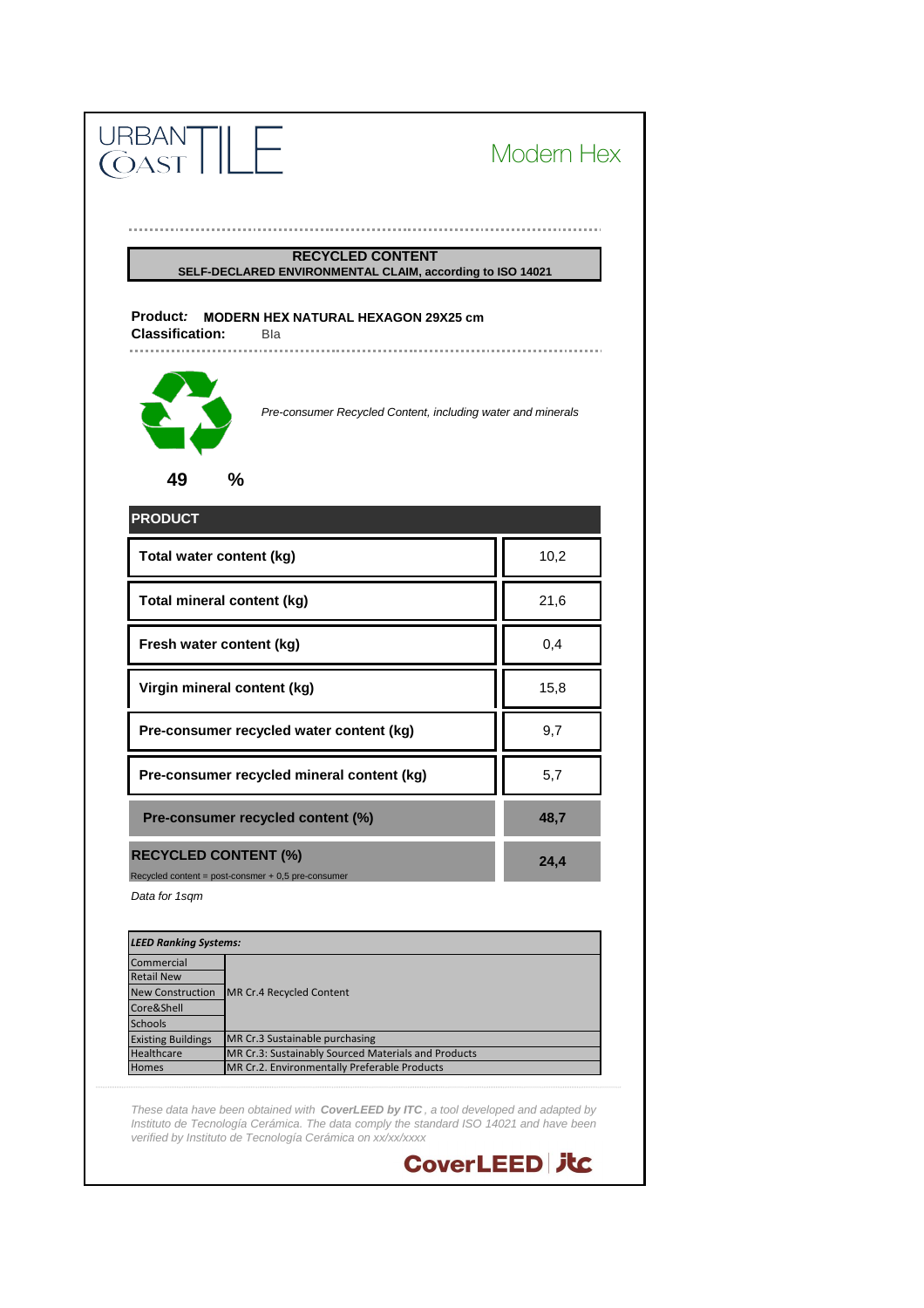*These data have been obtained with CoverLEED by ITC , a tool developed and adapted by Instituto de Tecnología Cerámica. The data comply the standard ISO 14021 and have been verified by Instituto de Tecnología Cerámica on xx/xx/xxxx*



|                   | <b>Existing Buildings</b> MR Cr.3 Sustainable purchasing    |
|-------------------|-------------------------------------------------------------|
| <b>Healthcare</b> | <b>IMR Cr.3: Sustainably Sourced Materials and Products</b> |
| <b>Homes</b>      | <b>IMR Cr.2. Environmentally Preferable Products</b>        |

| <b>LEED Ranking Systems:</b> |                                             |  |
|------------------------------|---------------------------------------------|--|
| Commercial                   |                                             |  |
| <b>Retail New</b>            |                                             |  |
|                              | New Construction   MR Cr.4 Recycled Content |  |
| Core&Shell                   |                                             |  |
| <b>Schools</b>               |                                             |  |

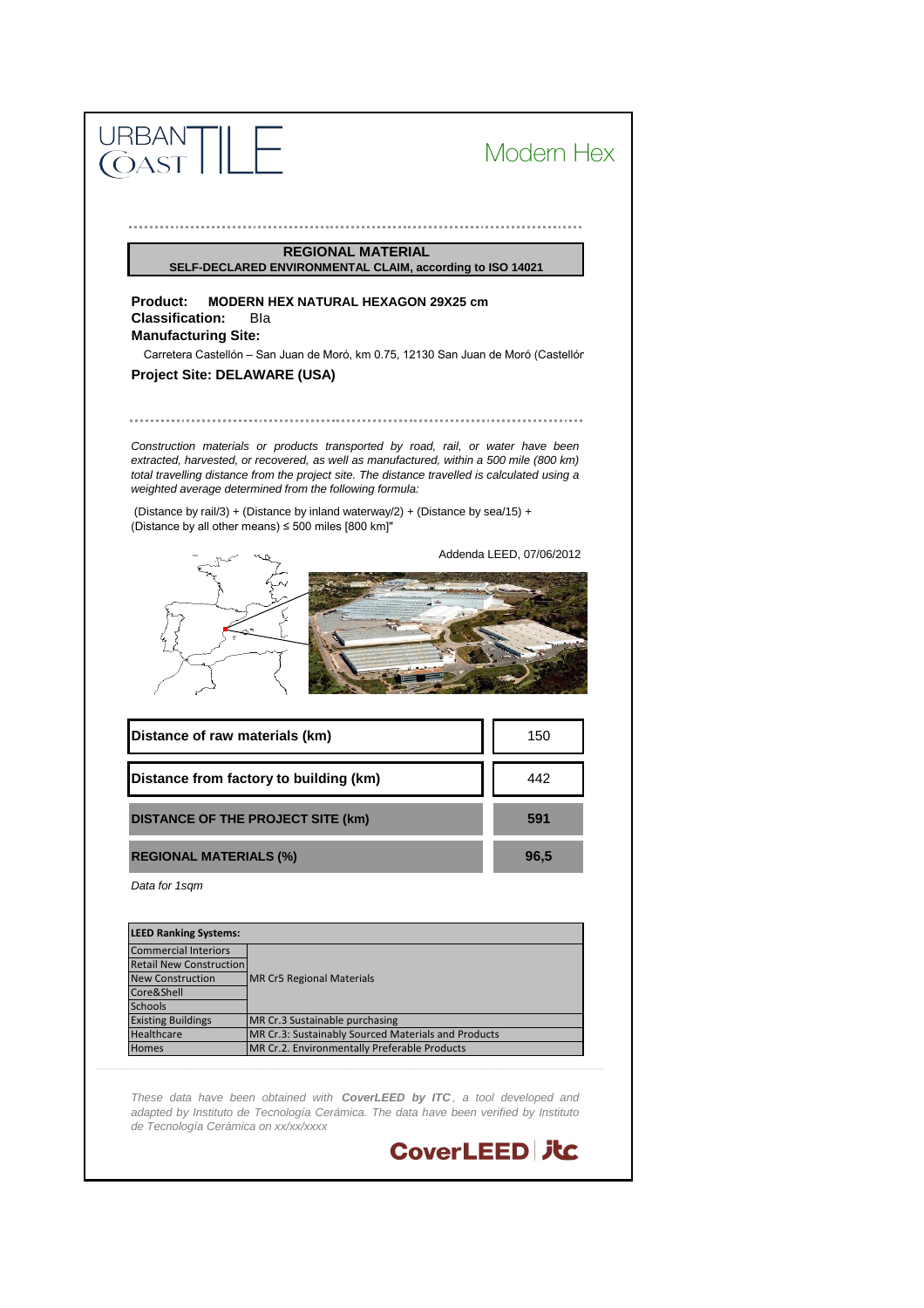*These data have been obtained with CoverLEED by ITC , a tool developed and adapted by Instituto de Tecnología Cerámica. The data have been verified by Instituto de Tecnología Cerámica on xx/xx/xxxx*



| <b>LEED Ranking Systems:</b>   |                                                     |
|--------------------------------|-----------------------------------------------------|
| <b>Commercial Interiors</b>    |                                                     |
| <b>Retail New Construction</b> |                                                     |
| <b>New Construction</b>        | MR Cr5 Regional Materials                           |
| Core&Shell                     |                                                     |
| <b>Schools</b>                 |                                                     |
| <b>Existing Buildings</b>      | MR Cr.3 Sustainable purchasing                      |
| <b>Healthcare</b>              | MR Cr.3: Sustainably Sourced Materials and Products |
| <b>Homes</b>                   | MR Cr.2. Environmentally Preferable Products        |

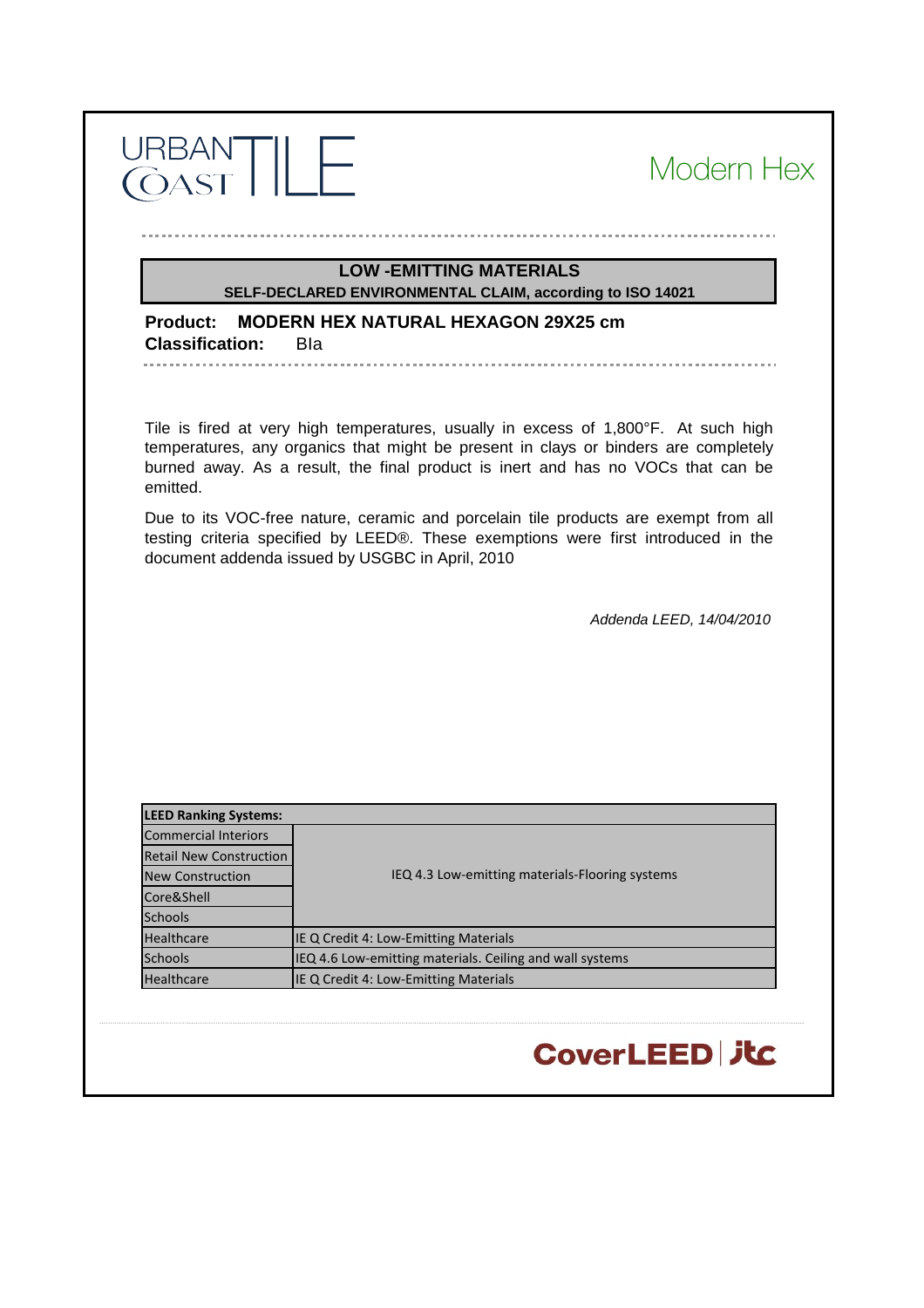| URBAN <sup>-</sup> |  |  |
|--------------------|--|--|
| $\Delta$           |  |  |

. . . . . . . . . . . . . . . . .

#### Modern Hex

#### **LOW -EMITTING MATERIALS SELF-DECLARED ENVIRONMENTAL CLAIM, according to ISO 14021**

**Product: MODERN HEX NATURAL HEXAGON 29X25 cm Classification:** BIa

Tile is fired at very high temperatures, usually in excess of 1,800°F. At such high temperatures, any organics that might be present in clays or binders are completely burned away. As a result, the final product is inert and has no VOCs that can be emitted.

Due to its VOC-free nature, ceramic and porcelain tile products are exempt from all testing criteria specified by LEED®. These exemptions were first introduced in the document addenda issued by USGBC in April, 2010

*Addenda LEED, 14/04/2010*

CoverLEED | JtC

| <b>LEED Ranking Systems:</b>   |                                                          |
|--------------------------------|----------------------------------------------------------|
| <b>Commercial Interiors</b>    |                                                          |
| <b>Retail New Construction</b> |                                                          |
| <b>New Construction</b>        | IEQ 4.3 Low-emitting materials-Flooring systems          |
| Core&Shell                     |                                                          |
| <b>Schools</b>                 |                                                          |
| <b>Healthcare</b>              | IE Q Credit 4: Low-Emitting Materials                    |
| <b>Schools</b>                 | IEQ 4.6 Low-emitting materials. Ceiling and wall systems |
| Healthcare                     | IE Q Credit 4: Low-Emitting Materials                    |